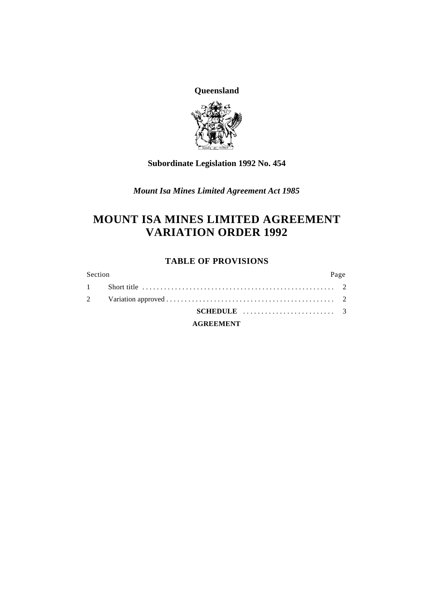**Queensland**



### **Subordinate Legislation 1992 No. 454**

*Mount Isa Mines Limited Agreement Act 1985*

# **MOUNT ISA MINES LIMITED AGREEMENT VARIATION ORDER 1992**

### **TABLE OF PROVISIONS**

| Section |                                                               | Page |
|---------|---------------------------------------------------------------|------|
|         |                                                               |      |
|         |                                                               |      |
|         | SCHEDULE $\ldots \ldots \ldots \ldots \ldots \ldots \ldots$ 3 |      |
|         | <b>AGREEMENT</b>                                              |      |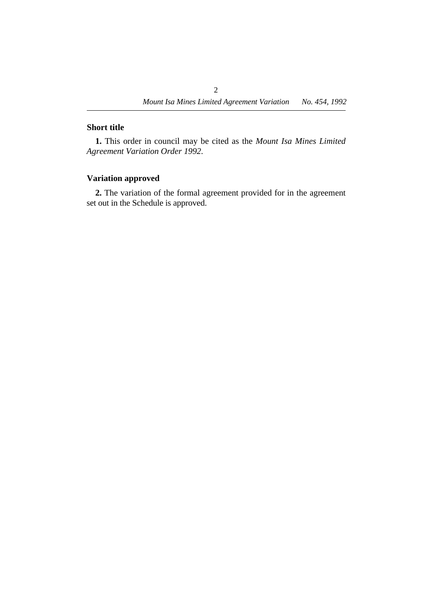### **˙Short title**

**1.** This order in council may be cited as the *Mount Isa Mines Limited Agreement Variation Order 1992*.

### **˙Variation approved**

**2.** The variation of the formal agreement provided for in the agreement set out in the Schedule is approved.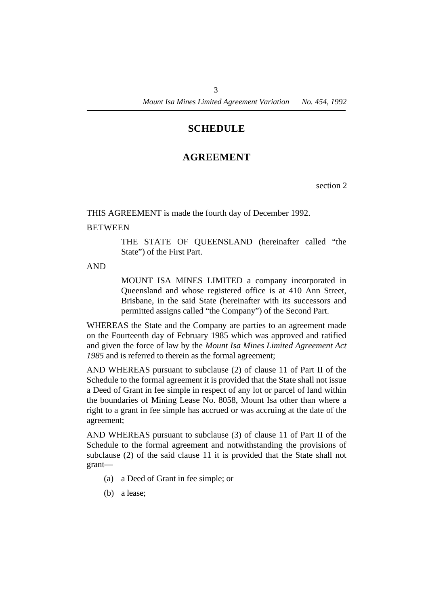### **¡SCHEDULE**

## **†AGREEMENT**

section 2

THIS AGREEMENT is made the fourth day of December 1992.

### **BETWEEN**

THE STATE OF QUEENSLAND (hereinafter called "the State") of the First Part.

AND

MOUNT ISA MINES LIMITED a company incorporated in Queensland and whose registered office is at 410 Ann Street, Brisbane, in the said State (hereinafter with its successors and permitted assigns called "the Company") of the Second Part.

WHEREAS the State and the Company are parties to an agreement made on the Fourteenth day of February 1985 which was approved and ratified and given the force of law by the *Mount Isa Mines Limited Agreement Act 1985* and is referred to therein as the formal agreement;

AND WHEREAS pursuant to subclause (2) of clause 11 of Part II of the Schedule to the formal agreement it is provided that the State shall not issue a Deed of Grant in fee simple in respect of any lot or parcel of land within the boundaries of Mining Lease No. 8058, Mount Isa other than where a right to a grant in fee simple has accrued or was accruing at the date of the agreement;

AND WHEREAS pursuant to subclause (3) of clause 11 of Part II of the Schedule to the formal agreement and notwithstanding the provisions of subclause (2) of the said clause 11 it is provided that the State shall not grant—

- (a) a Deed of Grant in fee simple; or
- (b) a lease;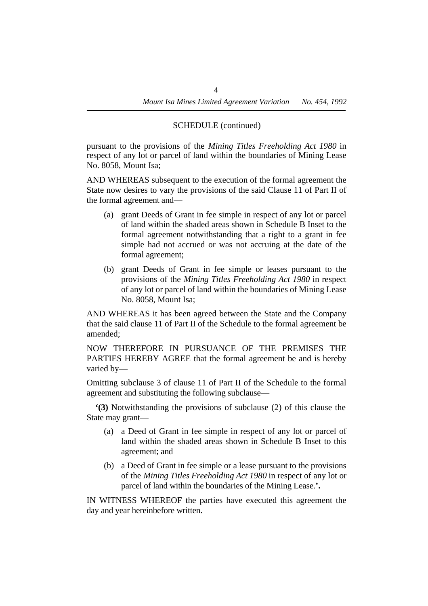### SCHEDULE (continued)

pursuant to the provisions of the *Mining Titles Freeholding Act 1980* in respect of any lot or parcel of land within the boundaries of Mining Lease No. 8058, Mount Isa;

AND WHEREAS subsequent to the execution of the formal agreement the State now desires to vary the provisions of the said Clause 11 of Part II of the formal agreement and—

- (a) grant Deeds of Grant in fee simple in respect of any lot or parcel of land within the shaded areas shown in Schedule B Inset to the formal agreement notwithstanding that a right to a grant in fee simple had not accrued or was not accruing at the date of the formal agreement;
- (b) grant Deeds of Grant in fee simple or leases pursuant to the provisions of the *Mining Titles Freeholding Act 1980* in respect of any lot or parcel of land within the boundaries of Mining Lease No. 8058, Mount Isa;

AND WHEREAS it has been agreed between the State and the Company that the said clause 11 of Part II of the Schedule to the formal agreement be amended;

NOW THEREFORE IN PURSUANCE OF THE PREMISES THE PARTIES HEREBY AGREE that the formal agreement be and is hereby varied by—

Omitting subclause 3 of clause 11 of Part II of the Schedule to the formal agreement and substituting the following subclause—

**'(3)** Notwithstanding the provisions of subclause (2) of this clause the State may grant—

- (a) a Deed of Grant in fee simple in respect of any lot or parcel of land within the shaded areas shown in Schedule B Inset to this agreement; and
- (b) a Deed of Grant in fee simple or a lease pursuant to the provisions of the *Mining Titles Freeholding Act 1980* in respect of any lot or parcel of land within the boundaries of the Mining Lease.**'.**

IN WITNESS WHEREOF the parties have executed this agreement the day and year hereinbefore written.